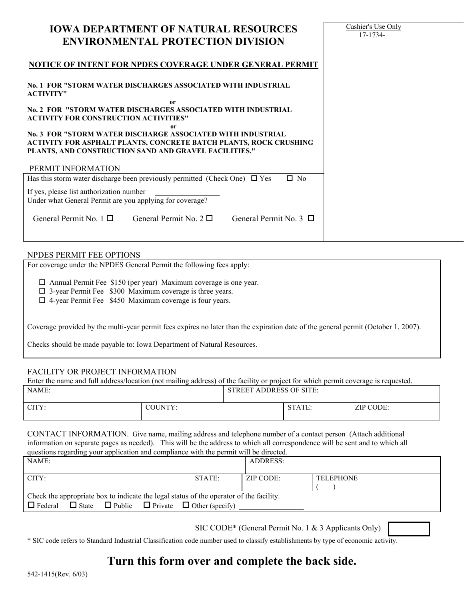| <b>ENVIRONMENTAL PROTECTION DIVISION</b>                                                                                                                                                        | 17-1734- |
|-------------------------------------------------------------------------------------------------------------------------------------------------------------------------------------------------|----------|
| NOTICE OF INTENT FOR NPDES COVERAGE UNDER GENERAL PERMIT                                                                                                                                        |          |
| No. 1 FOR "STORM WATER DISCHARGES ASSOCIATED WITH INDUSTRIAL<br><b>ACTIVITY"</b>                                                                                                                |          |
| 0r<br>No. 2 FOR "STORM WATER DISCHARGES ASSOCIATED WITH INDUSTRIAL<br><b>ACTIVITY FOR CONSTRUCTION ACTIVITIES"</b>                                                                              |          |
| 0r<br>No. 3 FOR "STORM WATER DISCHARGE ASSOCIATED WITH INDUSTRIAL<br>ACTIVITY FOR ASPHALT PLANTS, CONCRETE BATCH PLANTS, ROCK CRUSHING<br>PLANTS, AND CONSTRUCTION SAND AND GRAVEL FACILITIES." |          |
| PERMIT INFORMATION                                                                                                                                                                              |          |
| Has this storm water discharge been previously permitted (Check One) $\Box$ Yes<br>$\Box$ No                                                                                                    |          |
| If yes, please list authorization number<br>Under what General Permit are you applying for coverage?                                                                                            |          |
| General Permit No. $1 \Box$ General Permit No. $2 \Box$<br>General Permit No. $3 \Box$                                                                                                          |          |
|                                                                                                                                                                                                 |          |

Cashier's Use Only

## NPDES PERMIT FEE OPTIONS

For coverage under the NPDES General Permit the following fees apply:

□ Annual Permit Fee \$150 (per year) Maximum coverage is one year.

**IOWA DEPARTMENT OF NATURAL RESOURCES**

- $\Box$  3-year Permit Fee \$300 Maximum coverage is three years.
- $\Box$  4-year Permit Fee \$450 Maximum coverage is four years.

Coverage provided by the multi-year permit fees expires no later than the expiration date of the general permit (October 1, 2007).

Checks should be made payable to: Iowa Department of Natural Resources.

## FACILITY OR PROJECT INFORMATION

Enter the name and full address/location (not mailing address) of the facility or project for which permit coverage is requested.

| NAME: |         | <b>STREET ADDRESS OF SITE:</b> |        |           |
|-------|---------|--------------------------------|--------|-----------|
| CITY: | COUNTY: |                                | STATE: | ZIP CODE: |

CONTACT INFORMATION. Give name, mailing address and telephone number of a contact person (Attach additional information on separate pages as needed). This will be the address to which all correspondence will be sent and to which all questions regarding your application and compliance with the permit will be directed.

| NAME:                                                                                                                                                                         |        | ADDRESS:  |                  |
|-------------------------------------------------------------------------------------------------------------------------------------------------------------------------------|--------|-----------|------------------|
| CITY:                                                                                                                                                                         | STATE: | ZIP CODE: | <b>TELEPHONE</b> |
| Check the appropriate box to indicate the legal status of the operator of the facility.<br>$\Box$ State $\Box$ Public $\Box$ Private $\Box$ Other (specify)<br>$\Box$ Federal |        |           |                  |

SIC CODE\* (General Permit No. 1 & 3 Applicants Only)

\* SIC code refers to Standard Industrial Classification code number used to classify establishments by type of economic activity.

# **Turn this form over and complete the back side.**